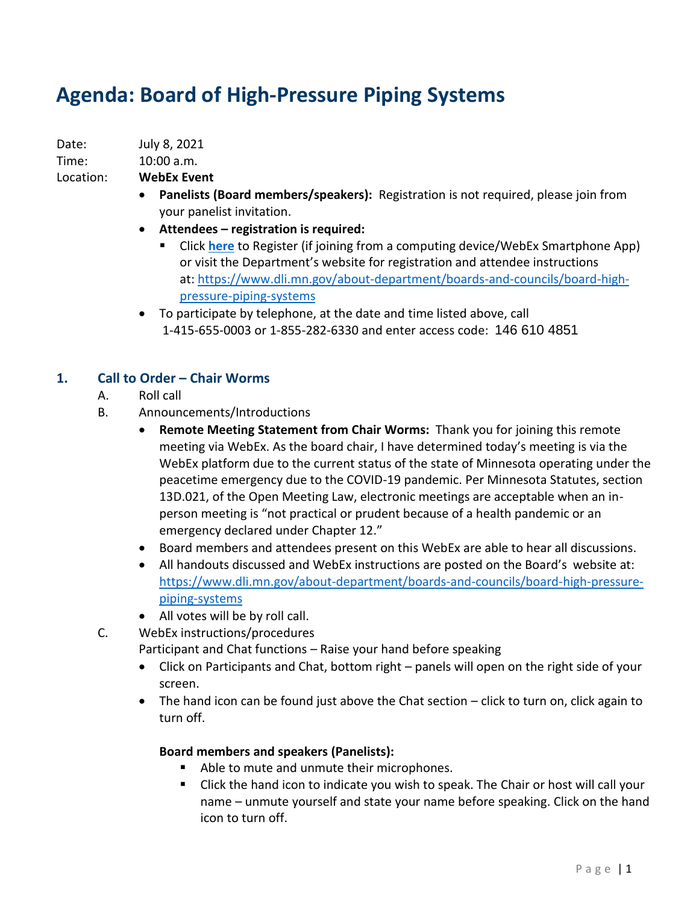# **Agenda: Board of High-Pressure Piping Systems**

Date: July 8, 2021

Time: 10:00 a.m.

Location: **WebEx Event**

- **Panelists (Board members/speakers):** Registration is not required, please join from your panelist invitation.
- **Attendees – registration is required:**
	- Click **[here](https://minnesota.webex.com/minnesota/onstage/g.php?MTID=ea6f0d5c6eb3a9db6ab003a38da4cde6e)** to Register (if joining from a computing device/WebEx Smartphone App) or visit the Department's website for registration and attendee instructions at: [https://www.dli.mn.gov/about-department/boards-and-councils/board-high](https://www.dli.mn.gov/about-department/boards-and-councils/board-high-pressure-piping-systems)[pressure-piping-systems](https://www.dli.mn.gov/about-department/boards-and-councils/board-high-pressure-piping-systems)
- To participate by telephone, at the date and time listed above, call 1-415-655-0003 or 1-855-282-6330 and enter access code: 146 610 4851

# **1. Call to Order – Chair Worms**

- A. Roll call
- B. Announcements/Introductions
	- **Remote Meeting Statement from Chair Worms:** Thank you for joining this remote meeting via WebEx. As the board chair, I have determined today's meeting is via the WebEx platform due to the current status of the state of Minnesota operating under the peacetime emergency due to the COVID-19 pandemic. Per Minnesota Statutes, section 13D.021, of the Open Meeting Law, electronic meetings are acceptable when an inperson meeting is "not practical or prudent because of a health pandemic or an emergency declared under Chapter 12."
	- Board members and attendees present on this WebEx are able to hear all discussions.
	- All handouts discussed and WebEx instructions are posted on the Board's website at: [https://www.dli.mn.gov/about-department/boards-and-councils/board-high-pressure](https://www.dli.mn.gov/about-department/boards-and-councils/board-high-pressure-piping-systems)[piping-systems](https://www.dli.mn.gov/about-department/boards-and-councils/board-high-pressure-piping-systems)
	- All votes will be by roll call.

C. WebEx instructions/procedures

- Participant and Chat functions Raise your hand before speaking
- Click on Participants and Chat, bottom right panels will open on the right side of your screen.
- The hand icon can be found just above the Chat section click to turn on, click again to turn off.

## **Board members and speakers (Panelists):**

- Able to mute and unmute their microphones.
- Click the hand icon to indicate you wish to speak. The Chair or host will call your name – unmute yourself and state your name before speaking. Click on the hand icon to turn off.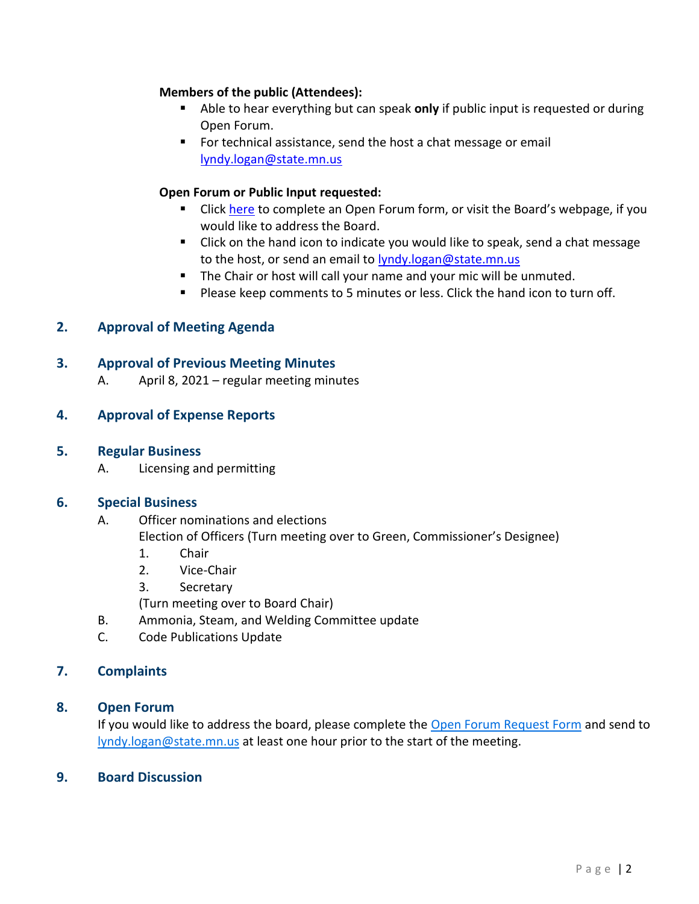#### **Members of the public (Attendees):**

- Able to hear everything but can speak only if public input is requested or during Open Forum.
- For technical assistance, send the host a chat message or email [lyndy.logan@state.mn.us](mailto:lyndy.logan@state.mn.us)

## **Open Forum or Public Input requested:**

- **E** Click [here](https://www.dli.mn.gov/sites/default/files/pdf/open-forum-request.pdf) to complete an Open Forum form, or visit the Board's webpage, if you would like to address the Board.
- Click on the hand icon to indicate you would like to speak, send a chat message to the host, or send an email to lyndy.logan@state.mn.us
- The Chair or host will call your name and your mic will be unmuted.
- Please keep comments to 5 minutes or less. Click the hand icon to turn off.

## **2. Approval of Meeting Agenda**

#### **3. Approval of Previous Meeting Minutes**

A. April 8, 2021 – regular meeting minutes

#### **4. Approval of Expense Reports**

#### **5. Regular Business**

A. Licensing and permitting

#### **6. Special Business**

- A. Officer nominations and elections Election of Officers (Turn meeting over to Green, Commissioner's Designee)
	- 1. Chair
	- 2. Vice-Chair
	- 3. Secretary
	- (Turn meeting over to Board Chair)
- B. Ammonia, Steam, and Welding Committee update
- C. Code Publications Update

## **7. Complaints**

#### **8. Open Forum**

If you would like to address the board, please complete the [Open Forum Request Form](https://www.dli.mn.gov/sites/default/files/pdf/open-forum-request.pdf) and send to [lyndy.logan@state.mn.us](mailto:lyndy.logan@state.mn.us) at least one hour prior to the start of the meeting.

#### **9. Board Discussion**